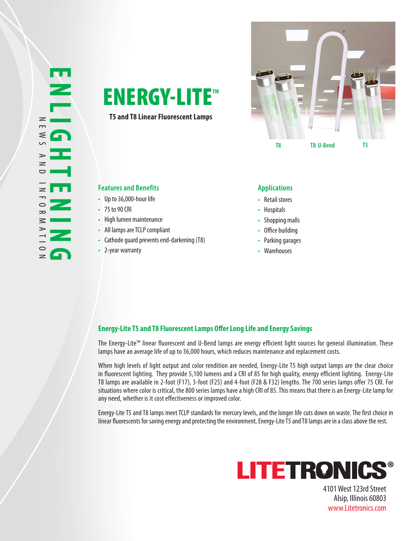

**T5 and T8 Linear Fluorescent Lamps**



## **Features and Benefits Applications**

- Up to 36,000-hour life
- 75 to 90 CRI
- High lumen maintenance
- All lamps are TCLP compliant
- Cathode guard prevents end-darkening (T8)
- 2-year warranty

- Retail stores
- Hospitals
- Shopping malls
- Office building
- Parking garages
- Warehouses

## **Energy-Lite T5 and T8 Fluorescent Lamps Offer Long Life and Energy Savings**

The Energy-Lite™ linear fluorescent and U-Bend lamps are energy efficient light sources for general illumination. These lamps have an average life of up to 36,000 hours, which reduces maintenance and replacement costs.

When high levels of light output and color rendition are needed, Energy-Lite T5 high output lamps are the clear choice in fluorescent lighting. They provide 5,100 lumens and a CRI of 85 for high quality, energy efficient lighting. Energy-Lite T8 lamps are available in 2-foot (F17), 3-foot (F25) and 4-foot (F28 & F32) lengths. The 700 series lamps offer 75 CRI. For situations where color is critical, the 800 series lamps have a high CRI of 85. This means that there is an Energy-Lite lamp for any need, whether is it cost effectiveness or improved color.

Energy-Lite T5 and T8 lamps meet TCLP standards for mercury levels, and the longer life cuts down on waste. The first choice in linear fluorescents for saving energy and protecting the environment, Energy-Lite T5 and T8 lamps are in a class above the rest.



4101 West 123rd Street Alsip, Illinois 60803 www.Litetronics.com